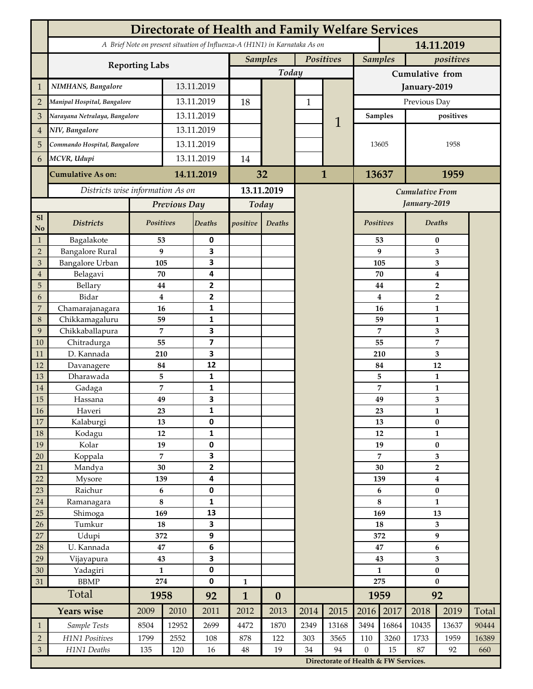|                 | <b>Directorate of Health and Family Welfare Services</b>                                 |                 |            |                         |                |                  |              |                                        |                  |          |                                    |                  |       |  |
|-----------------|------------------------------------------------------------------------------------------|-----------------|------------|-------------------------|----------------|------------------|--------------|----------------------------------------|------------------|----------|------------------------------------|------------------|-------|--|
|                 | A Brief Note on present situation of Influenza-A (H1N1) in Karnataka As on<br>14.11.2019 |                 |            |                         |                |                  |              |                                        |                  |          |                                    |                  |       |  |
|                 | <b>Reporting Labs</b>                                                                    |                 |            |                         | <b>Samples</b> |                  | Positives    |                                        | <b>Samples</b>   |          | positives                          |                  |       |  |
|                 |                                                                                          |                 |            |                         |                | Today            |              |                                        | Cumulative from  |          |                                    |                  |       |  |
| $\mathbf{1}$    | NIMHANS, Bangalore                                                                       | 13.11.2019      |            |                         |                |                  |              | January-2019                           |                  |          |                                    |                  |       |  |
| $\overline{2}$  | Manipal Hospital, Bangalore                                                              |                 |            | 13.11.2019              |                |                  | $\mathbf{1}$ |                                        | Previous Day     |          |                                    |                  |       |  |
| 3               | Narayana Netralaya, Bangalore                                                            |                 | 13.11.2019 |                         |                |                  |              |                                        | <b>Samples</b>   |          | positives                          |                  |       |  |
| $\overline{4}$  | NIV, Bangalore                                                                           |                 | 13.11.2019 |                         |                |                  | 1            |                                        | 13605            |          |                                    |                  |       |  |
| 5               | Commando Hospital, Bangalore                                                             |                 | 13.11.2019 |                         |                |                  |              |                                        |                  |          |                                    | 1958             |       |  |
| 6               | MCVR, Udupi                                                                              |                 | 13.11.2019 |                         | 14             |                  |              |                                        |                  |          |                                    |                  |       |  |
|                 | <b>Cumulative As on:</b>                                                                 |                 | 14.11.2019 |                         | 32             |                  | $\mathbf{1}$ |                                        | 13637            |          | 1959                               |                  |       |  |
|                 | Districts wise information As on                                                         |                 |            | 13.11.2019              |                |                  |              |                                        |                  |          |                                    |                  |       |  |
|                 |                                                                                          | Previous Day    |            | Today                   |                |                  |              | <b>Cumulative From</b><br>January-2019 |                  |          |                                    |                  |       |  |
| S1              |                                                                                          |                 |            |                         |                |                  |              |                                        |                  |          |                                    |                  |       |  |
| No              | <b>Districts</b>                                                                         | Positives       |            | Deaths                  | positive       | Deaths           |              |                                        | Positives        |          |                                    | Deaths           |       |  |
| $\mathbf{1}$    | Bagalakote                                                                               | 53              |            | 0                       |                |                  |              |                                        |                  | 53       | $\bf{0}$                           |                  |       |  |
| $\overline{2}$  | <b>Bangalore Rural</b>                                                                   | 9               |            | 3                       |                |                  |              |                                        |                  | 9        | 3                                  |                  |       |  |
| 3               | Bangalore Urban                                                                          | 105             |            | 3                       |                |                  |              |                                        | 105              |          | 3                                  |                  |       |  |
| $\overline{4}$  | Belagavi                                                                                 | 70              |            | 4                       |                |                  |              |                                        |                  | 70       | $\boldsymbol{4}$                   |                  |       |  |
| 5<br>6          | Bellary<br>Bidar                                                                         | 44<br>$\bf{4}$  |            | 2<br>$\mathbf{2}$       |                |                  |              |                                        |                  | 44<br>4  |                                    | $\overline{2}$   |       |  |
| 7               | Chamarajanagara                                                                          | 16              |            | 1                       |                |                  |              |                                        |                  | 16       | $\overline{2}$<br>1                |                  |       |  |
| 8               | Chikkamagaluru                                                                           | 59              |            | 1                       |                |                  |              |                                        |                  | 59       |                                    | 1                |       |  |
| 9               | Chikkaballapura                                                                          | 7               |            | 3                       |                |                  |              |                                        |                  | 7        |                                    | 3                |       |  |
| 10              | Chitradurga                                                                              | 55              |            | $\overline{\mathbf{z}}$ |                |                  |              |                                        |                  | 55       |                                    | 7                |       |  |
| 11              | D. Kannada                                                                               | 210             |            | 3                       |                |                  |              |                                        |                  | 210      |                                    | 3                |       |  |
| 12              | Davanagere                                                                               | 84              |            | 12                      |                |                  |              |                                        |                  | 84       | 12                                 |                  |       |  |
| 13              | Dharawada                                                                                | 5               |            | $\mathbf{1}$            |                |                  |              |                                        | 5                |          |                                    | $\mathbf{1}$     |       |  |
| 14              | Gadaga                                                                                   | 7               |            | 1                       |                |                  |              |                                        |                  | 7        |                                    | 1                |       |  |
| 15              | Hassana                                                                                  | 49              |            | 3                       |                |                  |              |                                        |                  | 49       |                                    | 3                |       |  |
| <b>16</b><br>17 | Haveri<br>Kalaburgi                                                                      | 23<br>13        |            | 1<br>0                  |                |                  |              |                                        |                  | 23<br>13 |                                    | 1<br>$\pmb{0}$   |       |  |
| 18              | Kodagu                                                                                   | 12              |            | $\mathbf{1}$            |                |                  |              |                                        |                  | 12       | $\mathbf{1}$                       |                  |       |  |
| 19              | Kolar                                                                                    | 19              |            | 0                       |                |                  |              |                                        |                  | 19       |                                    | $\pmb{0}$        |       |  |
| 20              | Koppala                                                                                  | $\overline{7}$  |            | 3                       |                |                  |              |                                        |                  | 7        |                                    | 3                |       |  |
| 21              | Mandya                                                                                   | $30\,$          |            | $\mathbf{2}$            |                |                  |              |                                        | 30               |          |                                    | $\mathbf 2$      |       |  |
| 22              | Mysore                                                                                   | 139             |            | 4                       |                |                  |              |                                        | 139              |          |                                    | $\boldsymbol{4}$ |       |  |
| 23              | Raichur                                                                                  | $\bf 6$         |            | $\pmb{0}$               |                |                  |              |                                        | 6                |          | $\pmb{0}$                          |                  |       |  |
| $24\,$          | Ramanagara                                                                               | 8               |            | 1                       |                |                  |              |                                        | 8                |          | $\mathbf{1}$                       |                  |       |  |
| 25              | Shimoga                                                                                  | 169             |            | 13                      |                |                  |              |                                        | 169              |          |                                    | 13               |       |  |
| 26              | Tumkur                                                                                   | ${\bf 18}$      |            | 3                       |                |                  |              |                                        | 18               |          | 3                                  |                  |       |  |
| 27              | Udupi<br>U. Kannada                                                                      | 372<br>$\bf 47$ |            | 9                       |                |                  |              |                                        | 372<br>47        |          | $\boldsymbol{9}$                   |                  |       |  |
| 28<br>29        | Vijayapura                                                                               | 43              |            | $\bf 6$<br>3            |                |                  |              |                                        | 43               |          | $\bf 6$<br>$\overline{\mathbf{3}}$ |                  |       |  |
| 30              | Yadagiri                                                                                 | $\mathbf{1}$    |            | 0                       |                |                  |              |                                        | $\mathbf{1}$     |          | $\pmb{0}$                          |                  |       |  |
| 31              | <b>BBMP</b>                                                                              | 274             |            | 0                       | $\mathbf{1}$   |                  |              |                                        | 275              |          | $\bf{0}$                           |                  |       |  |
|                 | Total                                                                                    | 1958            |            | 92                      | $\mathbf{1}$   | $\boldsymbol{0}$ |              |                                        | 1959             |          | 92                                 |                  |       |  |
|                 | <b>Years wise</b>                                                                        | 2009            | 2010       | 2011                    | 2012           | 2013             | 2014         | 2015                                   | 2016             | 2017     | 2018                               | 2019             | Total |  |
| $\mathbf{1}$    | Sample Tests                                                                             | 8504            | 12952      | 2699                    | 4472           | 1870             | 2349         | 13168                                  | 3494             | 16864    | 10435                              | 13637            | 90444 |  |
| $\overline{2}$  | H1N1 Positives                                                                           | 1799            | 2552       | 108                     | 878            | 122              | 303          | 3565                                   | 110              | 3260     | 1733                               | 1959             | 16389 |  |
| $\mathfrak{Z}$  | H1N1 Deaths                                                                              | 135             | 120        | 16                      | $48\,$         | 19               | 34           | 94                                     | $\boldsymbol{0}$ | 15       | 87                                 | 92               | 660   |  |
|                 |                                                                                          |                 |            |                         |                |                  |              | Directorate of Health & FW Services.   |                  |          |                                    |                  |       |  |